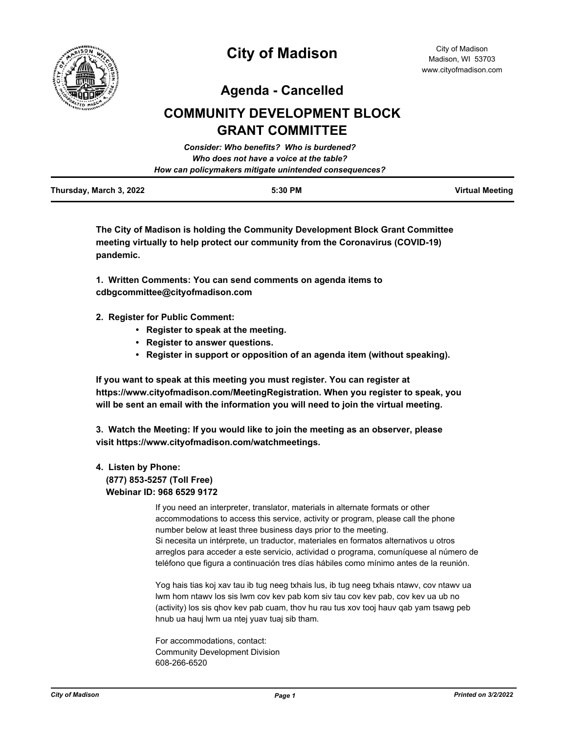

**Agenda - Cancelled**

# **COMMUNITY DEVELOPMENT BLOCK GRANT COMMITTEE**

|                         | Consider: Who benefits? Who is burdened?               |                 |
|-------------------------|--------------------------------------------------------|-----------------|
|                         | Who does not have a voice at the table?                |                 |
|                         | How can policymakers mitigate unintended consequences? |                 |
| Thursday, March 3, 2022 | 5:30 PM                                                | Virtual Meeting |

**The City of Madison is holding the Community Development Block Grant Committee meeting virtually to help protect our community from the Coronavirus (COVID-19) pandemic.**

**1. Written Comments: You can send comments on agenda items to cdbgcommittee@cityofmadison.com**

- **2. Register for Public Comment:** 
	- **Register to speak at the meeting.**
	- **Register to answer questions.**
	- **Register in support or opposition of an agenda item (without speaking).**

**If you want to speak at this meeting you must register. You can register at https://www.cityofmadison.com/MeetingRegistration. When you register to speak, you will be sent an email with the information you will need to join the virtual meeting.**

**3. Watch the Meeting: If you would like to join the meeting as an observer, please visit https://www.cityofmadison.com/watchmeetings.**

## **4. Listen by Phone: (877) 853-5257 (Toll Free) Webinar ID: 968 6529 9172**

If you need an interpreter, translator, materials in alternate formats or other accommodations to access this service, activity or program, please call the phone number below at least three business days prior to the meeting. Si necesita un intérprete, un traductor, materiales en formatos alternativos u otros arreglos para acceder a este servicio, actividad o programa, comuníquese al número de teléfono que figura a continuación tres días hábiles como mínimo antes de la reunión.

Yog hais tias koj xav tau ib tug neeg txhais lus, ib tug neeg txhais ntawv, cov ntawv ua lwm hom ntawv los sis lwm cov kev pab kom siv tau cov kev pab, cov kev ua ub no (activity) los sis qhov kev pab cuam, thov hu rau tus xov tooj hauv qab yam tsawg peb hnub ua hauj lwm ua ntej yuav tuaj sib tham.

For accommodations, contact: Community Development Division 608-266-6520